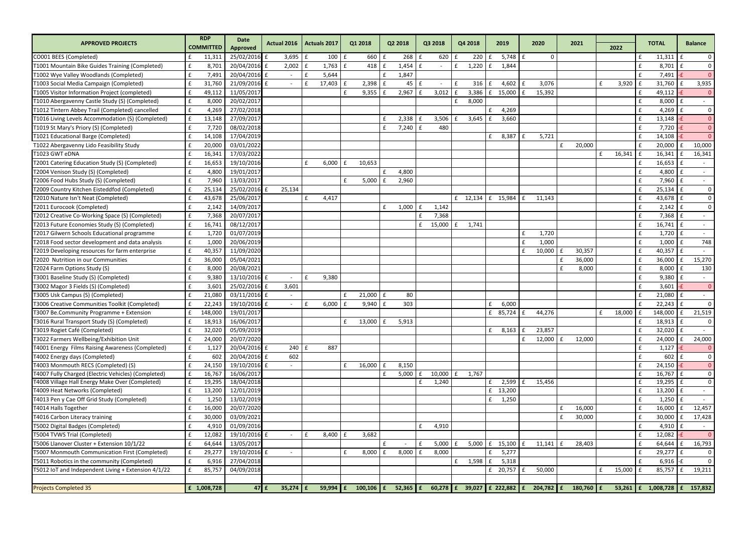| <b>APPROVED PROJECTS</b>                            | <b>RDP</b>         |         | <b>Date</b>     | Actual 2016  | <b>Actuals 2017</b>  |              | Q1 2018      | Q2 2018      | Q3 2018                | Q4 2018      | 2019                   |   | 2020                  |              | 2021        |              |        |              | <b>TOTAL</b>                 |              | <b>Balance</b> |
|-----------------------------------------------------|--------------------|---------|-----------------|--------------|----------------------|--------------|--------------|--------------|------------------------|--------------|------------------------|---|-----------------------|--------------|-------------|--------------|--------|--------------|------------------------------|--------------|----------------|
|                                                     | <b>COMMITTED</b>   |         | <b>Approved</b> |              |                      |              |              |              |                        |              |                        |   |                       |              |             |              | 2022   |              |                              |              |                |
| CO001 BEES (Completed)                              | £                  | 11,311  | 25/02/2016 £    | 3,695        | Ι£                   | $100 \mid f$ | 660          | 268          | 620<br>£               | 220<br>£     | $5,748 \mid f$<br>l £  |   | 0                     |              |             |              |        |              | 11,311                       |              | $\overline{0}$ |
| T1001 Mountain Bike Guides Training (Completed)     | £                  | 8,701   | 20/04/2016 £    | 2,002        | 1,763<br>£           | £            | 418          | 1,454        | £                      | 1,220        | 1,844                  |   |                       |              |             |              |        |              | 8,701                        |              | $\mathbf{0}$   |
| T1002 Wye Valley Woodlands (Completed)              | £                  | 7,491   | 20/04/2016 £    |              | 5,644<br>£           |              |              | 1,847        |                        |              |                        |   |                       |              |             |              |        |              | 7,491                        |              | $\Omega$       |
| T1003 Social Media Campaign (Completed)             | $\mathbf{f}$       | 31,760  | 21/09/2016 £    |              | 17,403               |              | 2,398        | 45           |                        | 316          | 4,602                  |   | 3,076                 |              |             | $\mathbf{f}$ | 3,920  |              | 31,760                       |              | 3,935          |
| T1005 Visitor Information Project (completed)       | $\mathbf{f}$       | 49,112  | 11/05/2017      |              |                      | f            | 9,355        | 2,967        | 3,012                  | 3,386        | 15,000<br>l £          |   | 15,392                |              |             |              |        |              | 49,112                       |              | $\overline{0}$ |
| T1010 Abergavenny Castle Study (S) (Completed)      | £                  | 8,000   | 20/02/2017      |              |                      |              |              |              |                        | 8,000<br>f   |                        |   |                       |              |             |              |        |              | 8,000                        | l f          |                |
| T1012 Tintern Abbey Trail (Completed) cancelled     | £                  | 4,269   | 27/02/2018      |              |                      |              |              |              |                        |              | 4,269<br>£             |   |                       |              |             |              |        |              | 4,269                        |              | $\mathbf 0$    |
| T1016 Living Levels Accommodation (S) (Completed)   | £                  | 13,148  | 27/09/2017      |              |                      |              |              | 2,338        | 3,506                  | 3,645        | 3,660                  |   |                       |              |             |              |        |              | 13,148                       |              | $\overline{0}$ |
| T1019 St Mary's Priory (S) (Completed)              | £                  | 7,720   | 08/02/2018      |              |                      |              |              | 7,240        | 480                    |              |                        |   |                       |              |             |              |        |              | 7,720                        |              | $\overline{0}$ |
| T1021 Educational Barge (Completed)                 | £                  | 14,108  | 17/04/2019      |              |                      |              |              |              |                        |              | 8,387<br>£             |   | 5,721                 |              |             |              |        |              | 14,108                       |              | $\mathbf{0}$   |
| T1022 Abergavenny Lido Feasibility Study            | $\mathbf{f}$       | 20,000  | 03/01/2022      |              |                      |              |              |              |                        |              |                        |   |                       | £            | 20,000      |              |        |              | 20,000                       |              | 10,000         |
| T1023 GWT eDNA                                      | $\mathbf{f}$       | 16,341  | 17/03/2022      |              |                      |              |              |              |                        |              |                        |   |                       |              |             | $\mathbf{f}$ | 16,341 |              | 16,341                       | lf.          | 16,341         |
| T2001 Catering Education Study (S) (Completed)      | £                  | 16,653  | 19/10/2016      |              | 6,000<br>£           | f            | 10,653       |              |                        |              |                        |   |                       |              |             |              |        |              | 16,653                       | Ιf           |                |
| T2004 Venison Study (S) (Completed)                 | £                  | 4,800   | 19/01/2017      |              |                      |              |              | 4,800        |                        |              |                        |   |                       |              |             |              |        |              | 4,800                        |              |                |
| T2006 Food Hubs Study (S) (Completed)               |                    | 7,960   | 13/03/2017      |              |                      | f            | 5,000        | 2,960        |                        |              |                        |   |                       |              |             |              |        |              | 7,960                        | l £          |                |
| T2009 Country Kitchen Eisteddfod (Completed)        | £                  | 25,134  | 25/02/2016      | 25,134       |                      |              |              |              |                        |              |                        |   |                       |              |             |              |        |              | 25,134                       | l f          | $\mathbf 0$    |
| T2010 Nature Isn't Neat (Completed)                 | £                  | 43,678  | 25/06/2017      |              | £<br>4,417           |              |              |              |                        | $f = 12,134$ | $\mathbf{f}$ 15,984    | £ | 11,143                |              |             |              |        |              | 43,678                       |              | $\mathbf{0}$   |
| T2011 Eurocook (Completed)                          |                    | 2,142   | 14/09/2017      |              |                      |              |              | 1,000        | 1,142<br>$\mathbf{f}$  |              |                        |   |                       |              |             |              |        |              | 2,142                        |              | $\mathbf{0}$   |
| T2012 Creative Co-Working Space (S) (Completed)     | £                  | 7,368   | 20/07/2017      |              |                      |              |              |              | 7,368                  |              |                        |   |                       |              |             |              |        |              | 7,368                        |              |                |
| T2013 Future Economies Study (S) (Completed)        | $\mathbf{f}$       | 16,741  | 08/12/2017      |              |                      |              |              |              | 15,000<br>$\mathbf{f}$ | £<br>1,741   |                        |   |                       |              |             |              |        | $\mathbf{f}$ | 16,741                       | l f          |                |
| T2017 Gilwern Schools Educational programme         | £                  | 1,720   | 01/07/2019      |              |                      |              |              |              |                        |              |                        |   | 1,720                 |              |             |              |        |              | 1,720                        | Ι£           |                |
| T2018 Food sector development and data analysis     | £                  | 1,000   | 20/06/2019      |              |                      |              |              |              |                        |              |                        |   | 1,000                 |              |             |              |        |              | 1,000                        | l f          | 748            |
| T2019 Developing resources for farm enterprise      | $\mathbf{f}$       | 40,357  | 11/09/2020      |              |                      |              |              |              |                        |              |                        |   | 10,000                | $\mathbf{f}$ | 30,357      |              |        |              | 40,357                       | l f          |                |
| T2020 Nutrition in our Communities                  | £                  | 36,000  | 05/04/2021      |              |                      |              |              |              |                        |              |                        |   |                       | £            | 36,000      |              |        |              | 36,000                       |              | 15,270         |
| T2024 Farm Options Study (S)                        | £                  | 8,000   | 20/08/2021      |              |                      |              |              |              |                        |              |                        |   |                       | f            | 8,000       |              |        |              | 8,000                        |              | 130            |
| T3001 Baseline Study (S) (Completed)                | $\mathbf{f}$       | 9,380   | 13/10/2016 £    |              | 9,380<br>f           |              |              |              |                        |              |                        |   |                       |              |             |              |        |              | 9,380                        | l f          | $\sim$         |
| T3002 Magor 3 Fields (S) (Completed)                | £                  | 3,601   | 25/02/2016 £    | 3,601        |                      |              |              |              |                        |              |                        |   |                       |              |             |              |        |              | 3,601                        |              | $\overline{0}$ |
| T3005 Usk Campus (S) (Completed)                    | £                  | 21,080  | 03/11/2016 £    |              |                      | £            | 21,000       | 80           |                        |              |                        |   |                       |              |             |              |        |              | 21,080                       | $\epsilon$   |                |
| T3006 Creative Communities Toolkit (Completed)      | $\mathbf{f}$       | 22,243  | 19/10/2016 £    |              | 6,000                |              | 9,940        | 303          |                        |              | 6,000                  |   |                       |              |             |              |        |              | 22,243                       |              | $\mathbf{0}$   |
| T3007 Be.Community Programme + Extension            | f                  | 148,000 | 19/01/2017      |              |                      |              |              |              |                        |              | £ $85,724$             | £ | 44,276                |              |             | £            | 18,000 |              | 148,000                      | Ι£           | 21,519         |
| T3016 Rural Transport Study (S) (Completed)         | £                  | 18,913  | 16/06/2017      |              |                      | £            | $13,000$ $E$ | 5,913        |                        |              |                        |   |                       |              |             |              |        | £            | $18,913 \mid f$              |              | 0              |
| T3019 Rogiet Café (Completed)                       | £                  | 32,020  | 05/09/2019      |              |                      |              |              |              |                        |              | $8,163 \mid f$<br>£    |   | 23,857                |              |             |              |        |              | $32,020$ $E$                 |              |                |
| T3022 Farmers Wellbeing/Exhibition Unit             | $\pmb{\mathsf{f}}$ | 24,000  | 20/07/2020      |              |                      |              |              |              |                        |              |                        | £ | 12,000                | £            | 12,000      |              |        |              | 24,000                       |              | 24,000         |
| T4001 Energy Films Raising Awareness (Completed)    | £                  | 1,127   | 20/04/2016 £    | $240$ $E$    | 887                  |              |              |              |                        |              |                        |   |                       |              |             |              |        |              | 1,127                        |              | $\overline{0}$ |
| T4002 Energy days (Completed)                       | £                  | 602     | 20/04/2016 £    | 602          |                      |              |              |              |                        |              |                        |   |                       |              |             |              |        |              | 602                          |              | 0              |
| T4003 Monmouth RECS (Completed) (S)                 | £                  | 24,150  | 19/10/2016 £    |              |                      |              | 16,000       | 8,150        |                        |              |                        |   |                       |              |             |              |        |              | 24,150                       |              | $\overline{0}$ |
| T4007 Fully Charged (Electric Vehicles) (Completed) | £                  | 16,767  | 16/06/2017      |              |                      |              |              | 5,000        | $10,000$ $E$<br>£      | 1,767        |                        |   |                       |              |             |              |        |              | 16,767                       | $\mathbf{f}$ | $\mathbf{0}$   |
| T4008 Village Hall Energy Make Over (Completed)     | £                  | 19,295  | 18/04/2018      |              |                      |              |              |              | 1,240<br>£             |              | f<br>2,599             | f | 15,456                |              |             |              |        |              | 19,295 $E$                   |              | $\mathbf{0}$   |
| T4009 Heat Networks (Completed)                     | £                  | 13,200  | 12/01/2019      |              |                      |              |              |              |                        |              | £ 13,200               |   |                       |              |             |              |        |              | 13,200 $E$                   |              |                |
| T4013 Pen y Cae Off Grid Study (Completed)          | £                  | 1,250   | 13/02/2019      |              |                      |              |              |              |                        |              | 1,250<br>f             |   |                       |              |             |              |        |              | $1,250$ $E$                  |              |                |
| T4014 Halls Together                                | £                  | 16,000  | 20/07/2020      |              |                      |              |              |              |                        |              |                        |   |                       | £            | 16,000      |              |        |              | 16,000                       | l f          | 12,457         |
| T4016 Carbon Literacy training                      | £                  | 30,000  | 03/09/2021      |              |                      |              |              |              |                        |              |                        |   |                       | £            | 30,000      |              |        |              | 30,000                       |              | 17,428         |
| T5002 Digital Badges (Completed)                    | £                  | 4,910   | 01/09/2016      |              |                      |              |              |              | 4,910<br>£             |              |                        |   |                       |              |             |              |        |              | 4,910                        |              | $\sim$         |
| T5004 TVWS Trial (Completed)                        | £                  | 12,082  | 19/10/2016 £    |              | £<br>$8,400$ $E$     |              | 3,682        |              |                        |              |                        |   |                       |              |             |              |        |              | 12,082                       |              | $\overline{0}$ |
| T5006 Llanover Cluster + Extension 10/1/22          | £                  | 64,644  | 13/05/2017      |              |                      |              |              |              | 5,000                  | £            | $5,000 \mid f$ 15,100  | £ | 11,141                | £            | 28,403      |              |        |              | $64,644$ £                   |              | 16,793         |
| T5007 Monmouth Communication First (Completed)      | £                  | 29,277  | 19/10/2016 £    |              |                      | $\mathbf{f}$ | 8,000        | 8,000        | 8,000<br>£             |              | 5,277<br>£             |   |                       |              |             |              |        |              | 29,277                       |              | $\overline{0}$ |
| T5011 Robotics in the community (Completed)         | £                  | 6,916   | 27/04/2018      |              |                      |              |              |              |                        | 1,598<br>£   | 5,318<br>Ι£            |   |                       |              |             |              |        |              | $6,916$ -£                   |              | $\mathbf{0}$   |
| T5012 IoT and Independent Living + Extension 4/1/22 | £                  | 85,757  | 04/09/2018      |              |                      |              |              |              |                        |              | £ 20,757               | £ | 50,000                |              |             | £            | 15,000 |              | $85,757$ $E$                 |              | 19,211         |
|                                                     |                    |         |                 |              |                      |              |              |              |                        |              |                        |   |                       |              |             |              |        |              |                              |              |                |
| <b>Projects Completed 35</b>                        | $E$ 1,008,728      |         | $47$ $f$        | $35,274$ $f$ | $59,994 \, \text{f}$ |              | 100,106   £  | $52,365$ $f$ | $60,278$ $E$           |              | 39,027 $f$ 222,882 $f$ |   | $204,782 \, \text{f}$ |              | 180,760 $E$ |              |        |              | 53,261 £ 1,008,728 £ 157,832 |              |                |
|                                                     |                    |         |                 |              |                      |              |              |              |                        |              |                        |   |                       |              |             |              |        |              |                              |              |                |